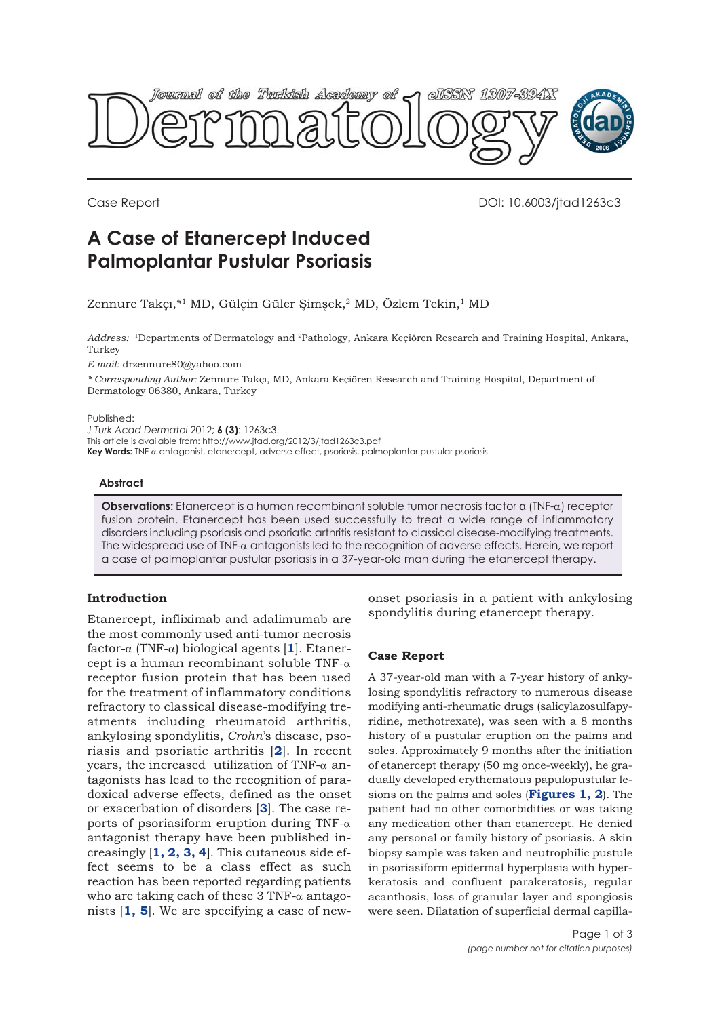

Case Report DOI: 10.6003/jtad1263c3

# **A Case of Etanercept Induced Palmoplantar Pustular Psoriasis**

Zennure Takçı,\*<sup>1</sup> MD, Gülçin Güler Şimşek,<sup>2</sup> MD, Özlem Tekin,<sup>1</sup> MD

*Address:* 1Departments of Dermatology and 2Pathology, Ankara Keçiören Research and Training Hospital, Ankara, Turkey

*E-mail:* drzennure80@yahoo.com

*\* Corresponding Author:* Zennure Takçı, MD, Ankara Keçiören Research and Training Hospital, Department of Dermatology 06380, Ankara, Turkey

Published:

*J Turk Acad Dermatol* 2012; **6 (3)**: 1263c3.

This article is available from: http://www.jtad.org/2012/3/jtad1263c3.pdf

**Key Words:** TNF-α antagonist, etanercept, adverse effect, psoriasis, palmoplantar pustular psoriasis

## **Abstract**

**Observations:** Etanercept is a human recombinant soluble tumor necrosis factor (TNF-α) receptor fusion protein. Etanercept has been used successfully to treat a wide range of inflammatory disorders including psoriasis and psoriatic arthritis resistant to classical disease-modifying treatments. The widespread use of TNF-α antagonists led to the recognition of adverse effects. Herein, we report a case of palmoplantar pustular psoriasis in a 37-year-old man during the etanercept therapy.

## **Introduction**

Etanercept, infliximab and adalimumab are the most commonly used anti-tumor necrosis factor-α (TNF-α) biological agents [**[1](#page-2-0)**]. Etanercept is a human recombinant soluble TNF- $\alpha$ receptor fusion protein that has been used for the treatment of inflammatory conditions refractory to classical disease-modifying treatments including rheumatoid arthritis, ankylosing spondylitis, *Crohn*'s disease, psoriasis and psoriatic arthritis [**[2](#page-2-0)**]. In recent years, the increased utilization of TNF-α antagonists has lead to the recognition of paradoxical adverse effects, defined as the onset or exacerbation of disorders [**[3](#page-2-0)**]. The case reports of psoriasiform eruption during TNF- $\alpha$ antagonist therapy have been published increasingly [**[1, 2, 3, 4](#page-2-0)**]. This cutaneous side effect seems to be a class effect as such reaction has been reported regarding patients who are taking each of these  $3$  TNF- $\alpha$  antagonists [**[1,](#page-2-0) [5](#page-2-0)**]. We are specifying a case of newonset psoriasis in a patient with ankylosing spondylitis during etanercept therapy.

# **Case Report**

A 37-year-old man with a 7-year history of ankylosing spondylitis refractory to numerous disease modifying anti-rheumatic drugs (salicylazosulfapyridine, methotrexate), was seen with a 8 months history of a pustular eruption on the palms and soles. Approximately 9 months after the initiation of etanercept therapy (50 mg once-weekly), he gradually developed erythematous papulopustular lesions on the palms and soles (**[Figures 1, 2](#page-1-0)**). The patient had no other comorbidities or was taking any medication other than etanercept. He denied any personal or family history of psoriasis. A skin biopsy sample was taken and neutrophilic pustule in psoriasiform epidermal hyperplasia with hyperkeratosis and confluent parakeratosis, regular acanthosis, loss of granular layer and spongiosis were seen. Dilatation of superficial dermal capilla-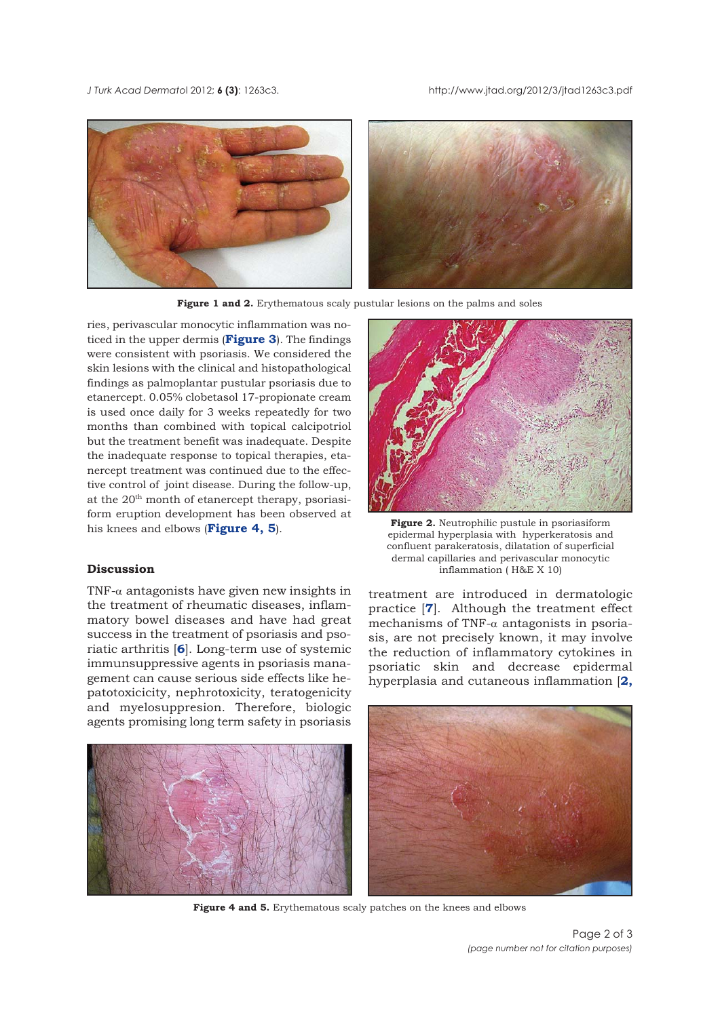<span id="page-1-0"></span>*J Turk Acad Dermato*l 2012; **6 (3)**: 1263c3. http://www.jtad.org/2012/3/jtad1263c3.pdf



**Figure 1 and 2.** Erythematous scaly pustular lesions on the palms and soles

ries, perivascular monocytic inflammation was noticed in the upper dermis (**Figure 3**). The findings were consistent with psoriasis. We considered the skin lesions with the clinical and histopathological findings as palmoplantar pustular psoriasis due to etanercept. 0.05% clobetasol 17-propionate cream is used once daily for 3 weeks repeatedly for two months than combined with topical calcipotriol but the treatment benefit was inadequate. Despite the inadequate response to topical therapies, etanercept treatment was continued due to the effective control of joint disease. During the follow-up, at the 20<sup>th</sup> month of etanercept therapy, psoriasiform eruption development has been observed at his knees and elbows (**Figure 4, 5**).

### **Discussion**

TNF- $\alpha$  antagonists have given new insights in the treatment of rheumatic diseases, inflammatory bowel diseases and have had great success in the treatment of psoriasis and psoriatic arthritis [**[6](#page-2-0)**]. Long-term use of systemic immunsuppressive agents in psoriasis management can cause serious side effects like hepatotoxicicity, nephrotoxicity, teratogenicity and myelosuppresion. Therefore, biologic agents promising long term safety in psoriasis



**Figure 2.** Neutrophilic pustule in psoriasiform epidermal hyperplasia with hyperkeratosis and confluent parakeratosis, dilatation of superficial dermal capillaries and perivascular monocytic inflammation ( H&E X 10)

treatment are introduced in dermatologic practice [**[7](#page-2-0)**]. Although the treatment effect mechanisms of TNF-α antagonists in psoriasis, are not precisely known, it may involve the reduction of inflammatory cytokines in psoriatic skin and decrease epidermal hyperplasia and cutaneous inflammation [**[2,](#page-2-0)**



Figure 4 and 5. Erythematous scaly patches on the knees and elbows